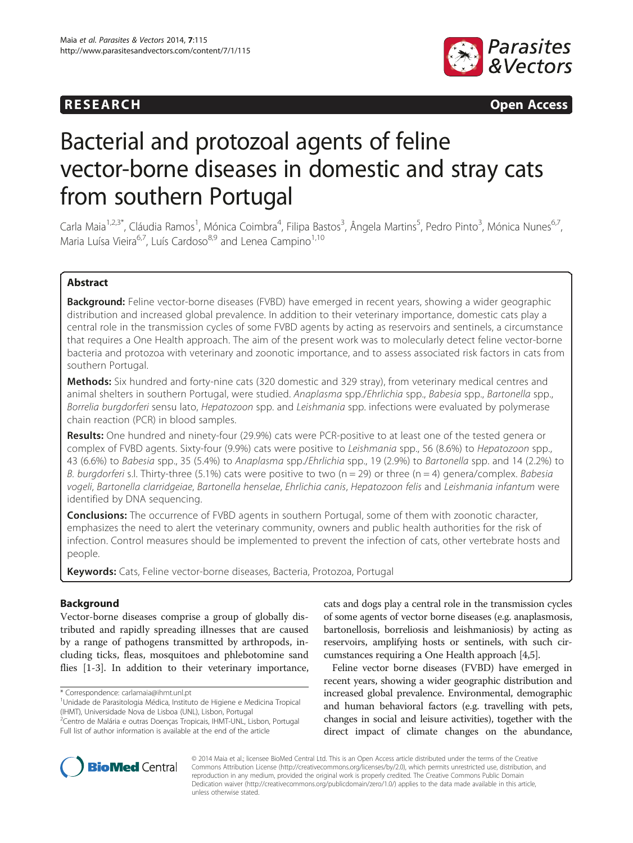

**RESEARCH RESEARCH CONSUMING ACCESS** 

# Bacterial and protozoal agents of feline vector-borne diseases in domestic and stray cats from southern Portugal

Carla Maia<sup>1,2,3\*</sup>, Cláudia Ramos<sup>1</sup>, Mónica Coimbra<sup>4</sup>, Filipa Bastos<sup>3</sup>, Ângela Martins<sup>5</sup>, Pedro Pinto<sup>3</sup>, Mónica Nunes<sup>6,7</sup>, Maria Luísa Vieira<sup>6,7</sup>, Luís Cardoso<sup>8,9</sup> and Lenea Campino<sup>1,10</sup>

# Abstract

Background: Feline vector-borne diseases (FVBD) have emerged in recent years, showing a wider geographic distribution and increased global prevalence. In addition to their veterinary importance, domestic cats play a central role in the transmission cycles of some FVBD agents by acting as reservoirs and sentinels, a circumstance that requires a One Health approach. The aim of the present work was to molecularly detect feline vector-borne bacteria and protozoa with veterinary and zoonotic importance, and to assess associated risk factors in cats from southern Portugal.

Methods: Six hundred and forty-nine cats (320 domestic and 329 stray), from veterinary medical centres and animal shelters in southern Portugal, were studied. Anaplasma spp./Ehrlichia spp., Babesia spp., Bartonella spp., Borrelia burgdorferi sensu lato, Hepatozoon spp. and Leishmania spp. infections were evaluated by polymerase chain reaction (PCR) in blood samples.

Results: One hundred and ninety-four (29.9%) cats were PCR-positive to at least one of the tested genera or complex of FVBD agents. Sixty-four (9.9%) cats were positive to Leishmania spp., 56 (8.6%) to Hepatozoon spp., 43 (6.6%) to Babesia spp., 35 (5.4%) to Anaplasma spp./Ehrlichia spp., 19 (2.9%) to Bartonella spp. and 14 (2.2%) to B. burgdorferi s.l. Thirty-three (5.1%) cats were positive to two ( $n = 29$ ) or three ( $n = 4$ ) genera/complex. Babesia vogeli, Bartonella clarridgeiae, Bartonella henselae, Ehrlichia canis, Hepatozoon felis and Leishmania infantum were identified by DNA sequencing.

**Conclusions:** The occurrence of FVBD agents in southern Portugal, some of them with zoonotic character, emphasizes the need to alert the veterinary community, owners and public health authorities for the risk of infection. Control measures should be implemented to prevent the infection of cats, other vertebrate hosts and people.

Keywords: Cats, Feline vector-borne diseases, Bacteria, Protozoa, Portugal

# Background

Vector-borne diseases comprise a group of globally distributed and rapidly spreading illnesses that are caused by a range of pathogens transmitted by arthropods, including ticks, fleas, mosquitoes and phlebotomine sand flies [\[1](#page-6-0)-[3\]](#page-6-0). In addition to their veterinary importance, cats and dogs play a central role in the transmission cycles of some agents of vector borne diseases (e.g. anaplasmosis, bartonellosis, borreliosis and leishmaniosis) by acting as reservoirs, amplifying hosts or sentinels, with such circumstances requiring a One Health approach [[4,5](#page-6-0)].

Feline vector borne diseases (FVBD) have emerged in recent years, showing a wider geographic distribution and increased global prevalence. Environmental, demographic and human behavioral factors (e.g. travelling with pets, changes in social and leisure activities), together with the direct impact of climate changes on the abundance,



© 2014 Maia et al.; licensee BioMed Central Ltd. This is an Open Access article distributed under the terms of the Creative Commons Attribution License [\(http://creativecommons.org/licenses/by/2.0\)](http://creativecommons.org/licenses/by/2.0), which permits unrestricted use, distribution, and reproduction in any medium, provided the original work is properly credited. The Creative Commons Public Domain Dedication waiver [\(http://creativecommons.org/publicdomain/zero/1.0/](http://creativecommons.org/publicdomain/zero/1.0/)) applies to the data made available in this article, unless otherwise stated.

<sup>\*</sup> Correspondence: [carlamaia@ihmt.unl.pt](mailto:carlamaia@ihmt.unl.pt) <sup>1</sup>

Unidade de Parasitologia Médica, Instituto de Higiene e Medicina Tropical (IHMT), Universidade Nova de Lisboa (UNL), Lisbon, Portugal 2 Centro de Malária e outras Doenças Tropicais, IHMT-UNL, Lisbon, Portugal

Full list of author information is available at the end of the article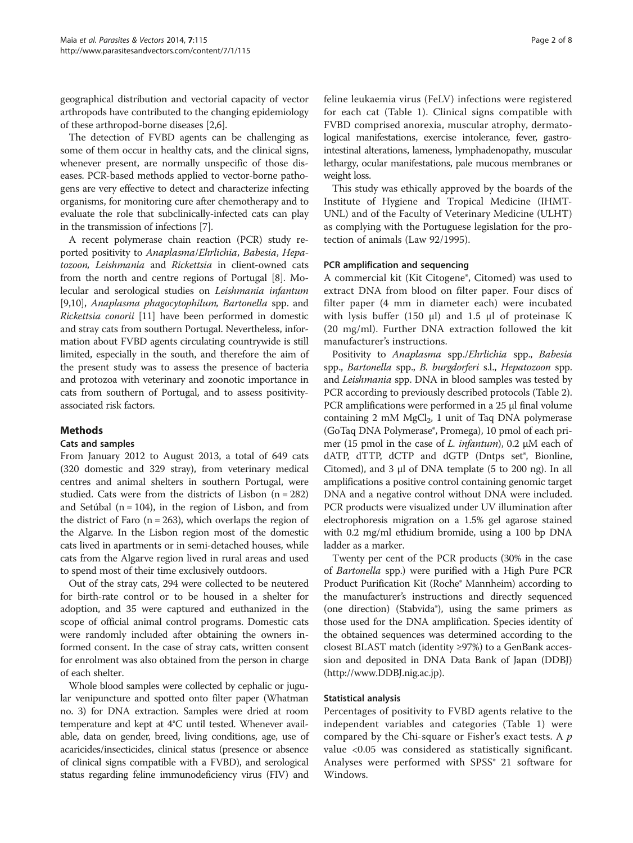geographical distribution and vectorial capacity of vector arthropods have contributed to the changing epidemiology of these arthropod-borne diseases [\[2,6\]](#page-6-0).

The detection of FVBD agents can be challenging as some of them occur in healthy cats, and the clinical signs, whenever present, are normally unspecific of those diseases. PCR-based methods applied to vector-borne pathogens are very effective to detect and characterize infecting organisms, for monitoring cure after chemotherapy and to evaluate the role that subclinically-infected cats can play in the transmission of infections [[7](#page-6-0)].

A recent polymerase chain reaction (PCR) study reported positivity to Anaplasma/Ehrlichia, Babesia, Hepatozoon, Leishmania and Rickettsia in client-owned cats from the north and centre regions of Portugal [[8\]](#page-6-0). Molecular and serological studies on Leishmania infantum [[9,10](#page-7-0)], Anaplasma phagocytophilum, Bartonella spp. and Rickettsia conorii [[11](#page-7-0)] have been performed in domestic and stray cats from southern Portugal. Nevertheless, information about FVBD agents circulating countrywide is still limited, especially in the south, and therefore the aim of the present study was to assess the presence of bacteria and protozoa with veterinary and zoonotic importance in cats from southern of Portugal, and to assess positivityassociated risk factors.

# Methods

# Cats and samples

From January 2012 to August 2013, a total of 649 cats (320 domestic and 329 stray), from veterinary medical centres and animal shelters in southern Portugal, were studied. Cats were from the districts of Lisbon (n = 282) and Setúbal ( $n = 104$ ), in the region of Lisbon, and from the district of Faro ( $n = 263$ ), which overlaps the region of the Algarve. In the Lisbon region most of the domestic cats lived in apartments or in semi-detached houses, while cats from the Algarve region lived in rural areas and used to spend most of their time exclusively outdoors.

Out of the stray cats, 294 were collected to be neutered for birth-rate control or to be housed in a shelter for adoption, and 35 were captured and euthanized in the scope of official animal control programs. Domestic cats were randomly included after obtaining the owners informed consent. In the case of stray cats, written consent for enrolment was also obtained from the person in charge of each shelter.

Whole blood samples were collected by cephalic or jugular venipuncture and spotted onto filter paper (Whatman no. 3) for DNA extraction. Samples were dried at room temperature and kept at 4°C until tested. Whenever available, data on gender, breed, living conditions, age, use of acaricides/insecticides, clinical status (presence or absence of clinical signs compatible with a FVBD), and serological status regarding feline immunodeficiency virus (FIV) and

feline leukaemia virus (FeLV) infections were registered for each cat (Table [1](#page-2-0)). Clinical signs compatible with FVBD comprised anorexia, muscular atrophy, dermatological manifestations, exercise intolerance, fever, gastrointestinal alterations, lameness, lymphadenopathy, muscular lethargy, ocular manifestations, pale mucous membranes or weight loss.

This study was ethically approved by the boards of the Institute of Hygiene and Tropical Medicine (IHMT-UNL) and of the Faculty of Veterinary Medicine (ULHT) as complying with the Portuguese legislation for the protection of animals (Law 92/1995).

## PCR amplification and sequencing

A commercial kit (Kit Citogene®, Citomed) was used to extract DNA from blood on filter paper. Four discs of filter paper (4 mm in diameter each) were incubated with lysis buffer (150 μl) and 1.5 μl of proteinase K (20 mg/ml). Further DNA extraction followed the kit manufacturer's instructions.

Positivity to Anaplasma spp./Ehrlichia spp., Babesia spp., Bartonella spp., B. burgdorferi s.l., Hepatozoon spp. and Leishmania spp. DNA in blood samples was tested by PCR according to previously described protocols (Table [2](#page-3-0)). PCR amplifications were performed in a 25 μl final volume containing 2 mM  $MgCl<sub>2</sub>$ , 1 unit of Taq DNA polymerase (GoTaq DNA Polymerase®, Promega), 10 pmol of each primer (15 pmol in the case of L. infantum), 0.2 μM each of dATP, dTTP, dCTP and dGTP (Dntps set®, Bionline, Citomed), and 3 μl of DNA template (5 to 200 ng). In all amplifications a positive control containing genomic target DNA and a negative control without DNA were included. PCR products were visualized under UV illumination after electrophoresis migration on a 1.5% gel agarose stained with 0.2 mg/ml ethidium bromide, using a 100 bp DNA ladder as a marker.

Twenty per cent of the PCR products (30% in the case of Bartonella spp.) were purified with a High Pure PCR Product Purification Kit (Roche® Mannheim) according to the manufacturer's instructions and directly sequenced (one direction) (Stabvida®), using the same primers as those used for the DNA amplification. Species identity of the obtained sequences was determined according to the closest BLAST match (identity ≥97%) to a GenBank accession and deposited in DNA Data Bank of Japan (DDBJ) ([http://www.DDBJ.nig.ac.jp](http://www.ddbj.nig.ac.jp)).

#### Statistical analysis

Percentages of positivity to FVBD agents relative to the independent variables and categories (Table [1\)](#page-2-0) were compared by the Chi-square or Fisher's exact tests. A  $p$ value <0.05 was considered as statistically significant. Analyses were performed with SPSS<sup>®</sup> 21 software for Windows.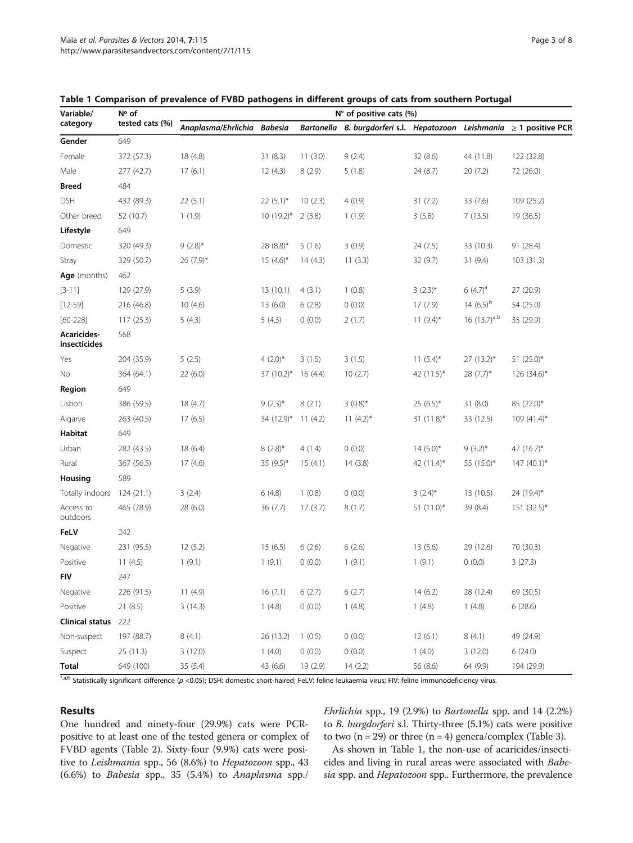| Variable/<br>category       | N° of<br>tested cats (%) | N° of positive cats (%)     |              |          |                                                                            |               |                   |                 |
|-----------------------------|--------------------------|-----------------------------|--------------|----------|----------------------------------------------------------------------------|---------------|-------------------|-----------------|
|                             |                          | Anaplasma/Ehrlichia Babesia |              |          | Bartonella B. burgdorferi s.l. Hepatozoon Leishmania $\geq 1$ positive PCR |               |                   |                 |
| Gender                      | 649                      |                             |              |          |                                                                            |               |                   |                 |
| Female                      | 372 (57.3)               | 18 (4.8)                    | 31(8.3)      | 11(3.0)  | 9(2.4)                                                                     | 32 (8.6)      | 44 (11.8)         | 122 (32.8)      |
| Male                        | 277 (42.7)               | 17(6.1)                     | 12(4.3)      | 8(2.9)   | 5(1.8)                                                                     | 24 (8.7)      | 20(7.2)           | 72 (26.0)       |
| <b>Breed</b>                | 484                      |                             |              |          |                                                                            |               |                   |                 |
| <b>DSH</b>                  | 432 (89.3)               | 22(5.1)                     | $22(5.1)$ *  | 10(2.3)  | 4(0.9)                                                                     | 31(7.2)       | 33 (7.6)          | 109 (25.2)      |
| Other breed                 | 52 (10.7)                | 1(1.9)                      | $10(19.2)$ * | 2(3.8)   | 1(1.9)                                                                     | 3(5.8)        | 7(13.5)           | 19 (36.5)       |
| Lifestyle                   | 649                      |                             |              |          |                                                                            |               |                   |                 |
| Domestic                    | 320 (49.3)               | $9(2.8)$ *                  | 28 (8.8)*    | 5(1.6)   | 3(0.9)                                                                     | 24(7.5)       | 33 (10.3)         | 91 (28.4)       |
| Stray                       | 329 (50.7)               | $26(7.9)$ *                 | $15(4.6)^*$  | 14(4.3)  | 11(3.3)                                                                    | 32 (9.7)      | 31(9.4)           | 103(31.3)       |
| Age (months)                | 462                      |                             |              |          |                                                                            |               |                   |                 |
| $[3-11]$                    | 129 (27.9)               | 5(3.9)                      | 13 (10.1)    | 4(3.1)   | 1(0.8)                                                                     | $3(2.3)^{*}$  | $6(4.7)^a$        | 27 (20.9)       |
| $[12 - 59]$                 | 216 (46.8)               | 10(4.6)                     | 13(6.0)      | 6(2.8)   | 0(0.0)                                                                     | 17(7.9)       | 14 $(6.5)^b$      | 54 (25.0)       |
| $[60 - 228]$                | 117(25.3)                | 5(4.3)                      | 5(4.3)       | 0(0.0)   | 2(1.7)                                                                     | $11(9.4)$ *   | 16 $(13.7)^{a,b}$ | 35 (29.9)       |
| Acaricides-<br>insecticides | 568                      |                             |              |          |                                                                            |               |                   |                 |
| Yes                         | 204 (35.9)               | 5(2.5)                      | 4 $(2.0)$ *  | 3(1.5)   | 3(1.5)                                                                     | $11(5.4)$ *   | $27(13.2)$ *      | 51 (25.0)*      |
| No                          | 364 (64.1)               | 22(6.0)                     | 37 (10.2)*   | 16(4.4)  | 10(2.7)                                                                    | 42 (11.5)*    | $28(7.7)^*$       | 126 (34.6)*     |
| Region                      | 649                      |                             |              |          |                                                                            |               |                   |                 |
| Lisbon                      | 386 (59.5)               | 18(4.7)                     | $9(2.3)$ *   | 8(2.1)   | $3(0.8)$ *                                                                 | $25(6.5)^{*}$ | 31 (8.0)          | 85 (22.0)*      |
| Algarve                     | 263 (40.5)               | 17(6.5)                     | 34 (12.9)*   | 11(4.2)  | 11 $(4.2)^*$                                                               | 31 $(11.8)^*$ | 33 (12.5)         | $109(41.4)^{*}$ |
| Habitat                     | 649                      |                             |              |          |                                                                            |               |                   |                 |
| Urban                       | 282 (43.5)               | 18(6.4)                     | $8(2.8)$ *   | 4(1.4)   | 0(0.0)                                                                     | $14(5.0)^{*}$ | $9(3.2)^{*}$      | 47 (16.7)*      |
| Rural                       | 367 (56.5)               | 17(4.6)                     | 35 (9.5)*    | 15(4.1)  | 14(3.8)                                                                    | 42 $(11.4)^*$ | 55 (15.0)*        | $147(40.1)^{*}$ |
| Housing                     | 589                      |                             |              |          |                                                                            |               |                   |                 |
| Totally indoors             | 124(21.1)                | 3(2.4)                      | 6 (4.8)      | 1(0.8)   | 0(0.0)                                                                     | $3(2.4)^{*}$  | 13 (10.5)         | 24 (19.4)*      |
| Access to<br>outdoors       | 465 (78.9)               | 28(6.0)                     | 36(7.7)      | 17(3.7)  | 8(1.7)                                                                     | $51(11.0)^*$  | 39 (8.4)          | $151 (32.5)^*$  |
| FeLV                        | 242                      |                             |              |          |                                                                            |               |                   |                 |
| Negative                    | 231 (95.5)               | 12(5.2)                     | 15(6.5)      | 6(2.6)   | 6(2.6)                                                                     | 13(5.6)       | 29 (12.6)         | 70 (30.3)       |
| Positive                    | 11(4.5)                  | 1(9.1)                      | 1(9.1)       | 0(0.0)   | 1(9.1)                                                                     | 1(9.1)        | 0(0.0)            | 3(27.3)         |
| <b>FIV</b>                  | 247                      |                             |              |          |                                                                            |               |                   |                 |
| Negative                    | 226 (91.5)               | 11(4.9)                     | 16(7.1)      | 6(2.7)   | 6(2.7)                                                                     | 14(6.2)       | 28 (12.4)         | 69 (30.5)       |
| Positive                    | 21(8.5)                  | 3(14.3)                     | 1(4.8)       | 0(0.0)   | 1(4.8)                                                                     | 1(4.8)        | 1(4.8)            | 6(28.6)         |
| <b>Clinical status</b>      | 222                      |                             |              |          |                                                                            |               |                   |                 |
| Non-suspect                 | 197 (88.7)               | 8(4.1)                      | 26 (13.2)    | 1(0.5)   | 0(0.0)                                                                     | 12(6.1)       | 8(4.1)            | 49 (24.9)       |
| Suspect                     | 25 (11.3)                | 3(12.0)                     | 1(4.0)       | 0(0.0)   | 0(0.0)                                                                     | 1(4.0)        | 3(12.0)           | 6(24.0)         |
| <b>Total</b>                | 649 (100)                | 35(5.4)                     | 43 (6.6)     | 19 (2.9) | 14(2.2)                                                                    | 56 (8.6)      | 64 (9.9)          | 194 (29.9)      |

<span id="page-2-0"></span>

|  |  | Table 1 Comparison of prevalence of FVBD pathogens in different groups of cats from southern Portugal |
|--|--|-------------------------------------------------------------------------------------------------------|
|--|--|-------------------------------------------------------------------------------------------------------|

\*,a,b Statistically significant difference (p <0.05); DSH: domestic short-haired; FeLV: feline leukaemia virus; FIV: feline immunodeficiency virus.

#### Results

One hundred and ninety-four (29.9%) cats were PCRpositive to at least one of the tested genera or complex of FVBD agents (Table [2\)](#page-3-0). Sixty-four (9.9%) cats were positive to Leishmania spp., 56 (8.6%) to Hepatozoon spp., 43 (6.6%) to Babesia spp., 35 (5.4%) to Anaplasma spp./

Ehrlichia spp., 19 (2.9%) to Bartonella spp. and 14 (2.2%) to B. burgdorferi s.l. Thirty-three (5.1%) cats were positive to two  $(n = 29)$  or three  $(n = 4)$  genera/complex (Table [3\)](#page-4-0).

As shown in Table 1, the non-use of acaricides/insecticides and living in rural areas were associated with Babesia spp. and Hepatozoon spp.. Furthermore, the prevalence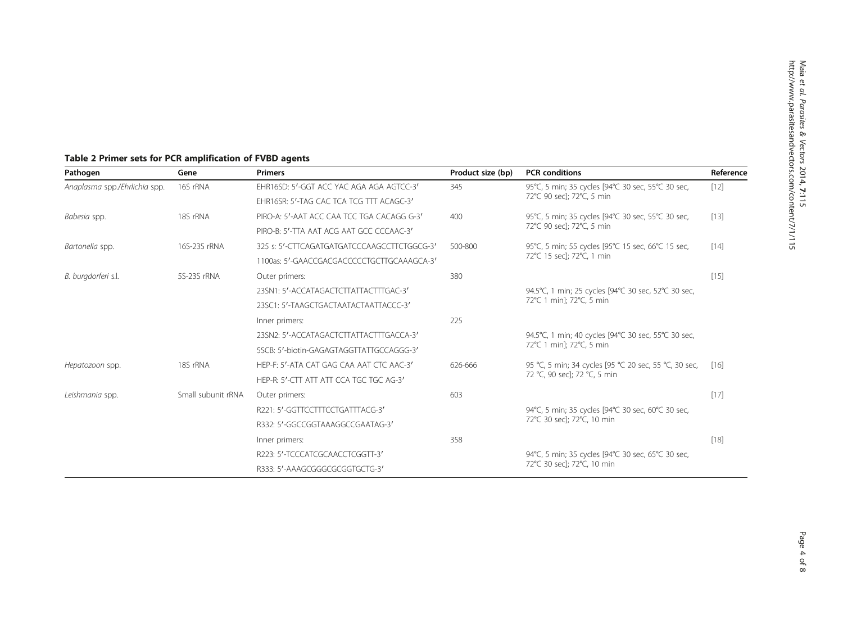# <span id="page-3-0"></span>Table 2 Primer sets for PCR amplification of FVBD agents

| Pathogen                      | Gene               | <b>Primers</b>                              | Product size (bp) | <b>PCR</b> conditions                                                                 | Reference |
|-------------------------------|--------------------|---------------------------------------------|-------------------|---------------------------------------------------------------------------------------|-----------|
| Anaplasma spp./Ehrlichia spp. | 16S rRNA           | FHR16SD: 5'-GGT ACC YAC AGA AGA AGTCC-3'    | 345               | 95°C, 5 min; 35 cycles [94°C 30 sec, 55°C 30 sec,<br>72°C 90 sec]; 72°C, 5 min        | $[12]$    |
|                               |                    | EHR16SR: 5'-TAG CAC TCA TCG TTT ACAGC-3'    |                   |                                                                                       |           |
| Babesia spp.                  | 18S rRNA           | PIRO-A: 5'-AAT ACC CAA TCC TGA CACAGG G-3'  | 400               | 95°C, 5 min; 35 cycles [94°C 30 sec, 55°C 30 sec,<br>72°C 90 sec]; 72°C, 5 min        | $[13]$    |
|                               |                    | PIRO-B: 5'-TTA AAT ACG AAT GCC CCCAAC-3'    |                   |                                                                                       |           |
| Bartonella spp.               | 16S-23S rRNA       | 325 s: 5'-CTTCAGATGATGATCCCAAGCCTTCTGGCG-3' | 500-800           | 95°C, 5 min; 55 cycles [95°C 15 sec, 66°C 15 sec,<br>72°C 15 secl: 72°C. 1 min        | $[14]$    |
|                               |                    | 1100as: 5'-GAACCGACGACCCCCTGCTTGCAAAGCA-3'  |                   |                                                                                       |           |
| B. burgdorferi s.l.           | 5S-23S rRNA        | Outer primers:                              | 380               |                                                                                       | $[15]$    |
|                               |                    | 23SN1: 5'-ACCATAGACTCTTATTACTTTGAC-3'       |                   | 94.5°C, 1 min; 25 cycles [94°C 30 sec, 52°C 30 sec,<br>72°C 1 min]; 72°C, 5 min       |           |
|                               |                    | 23SC1: 5'-TAAGCTGACTAATACTAATTACCC-3'       |                   |                                                                                       |           |
|                               |                    | Inner primers:                              | 225               |                                                                                       |           |
|                               |                    | 23SN2: 5'-ACCATAGACTCTTATTACTTTGACCA-3'     |                   | 94.5°C, 1 min; 40 cycles [94°C 30 sec, 55°C 30 sec,<br>72°C 1 min]; 72°C, 5 min       |           |
|                               |                    | 5SCB: 5'-biotin-GAGAGTAGGTTATTGCCAGGG-3'    |                   |                                                                                       |           |
| Hepatozoon spp.               | 18S rRNA           | HEP-F: 5'-ATA CAT GAG CAA AAT CTC AAC-3'    | 626-666           | 95 °C, 5 min; 34 cycles [95 °C 20 sec, 55 °C, 30 sec,<br>72 °C, 90 sec]; 72 °C, 5 min | [16]      |
|                               |                    | HEP-R: 5'-CTT ATT ATT CCA TGC TGC AG-3'     |                   |                                                                                       |           |
| Leishmania spp.               | Small subunit rRNA | Outer primers:                              | 603               |                                                                                       | [17]      |
|                               |                    | R221: 5'-GGTTCCTTTCCTGATTTACG-3'            |                   | 94°C, 5 min; 35 cycles [94°C 30 sec, 60°C 30 sec,<br>72°C 30 sec]; 72°C, 10 min       |           |
|                               |                    | R332: 5'-GGCCGGTAAAGGCCGAATAG-3'            |                   |                                                                                       |           |
|                               |                    | Inner primers:                              | 358               |                                                                                       | $[18]$    |
|                               |                    | R223: 5'-TCCCATCGCAACCTCGGTT-3'             |                   | 94°C, 5 min; 35 cycles [94°C 30 sec, 65°C 30 sec,                                     |           |
|                               |                    | R333: 5'-AAAGCGGGCGCGGTGCTG-3'              |                   | 72°C 30 sec]; 72°C, 10 min                                                            |           |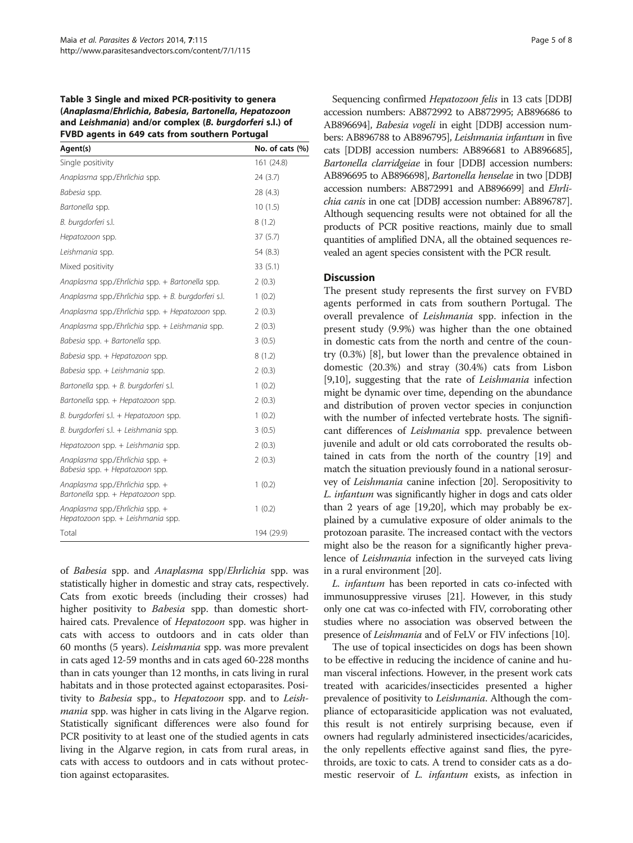<span id="page-4-0"></span>Table 3 Single and mixed PCR-positivity to genera (Anaplasma/Ehrlichia, Babesia, Bartonella, Hepatozoon and Leishmania) and/or complex (B. burgdorferi s.l.) of FVBD agents in 649 cats from southern Portugal

| Agent(s)                                                             | No. of cats (%) |
|----------------------------------------------------------------------|-----------------|
| Single positivity                                                    | 161 (24.8)      |
| Anaplasma spp./Ehrlichia spp.                                        | 24 (3.7)        |
| Babesia spp.                                                         | 28 (4.3)        |
| Bartonella spp.                                                      | 10(1.5)         |
| B. burgdorferi s.l.                                                  | 8(1.2)          |
| Hepatozoon spp.                                                      | 37(5.7)         |
| Leishmania spp.                                                      | 54 (8.3)        |
| Mixed positivity                                                     | 33(5.1)         |
| Anaplasma spp./Ehrlichia spp. + Bartonella spp.                      | 2(0.3)          |
| Anaplasma spp./Ehrlichia spp. + B. burgdorferi s.l.                  | 1(0.2)          |
| Anaplasma spp./Ehrlichia spp. + Hepatozoon spp.                      | 2(0.3)          |
| Anaplasma spp./Ehrlichia spp. + Leishmania spp.                      | 2(0.3)          |
| Babesia spp. + Bartonella spp.                                       | 3(0.5)          |
| Babesia spp. + Hepatozoon spp.                                       | 8(1.2)          |
| Babesia spp. + Leishmania spp.                                       | 2(0.3)          |
| Bartonella spp. + B. burgdorferi s.l.                                | 1(0.2)          |
| Bartonella spp. + Hepatozoon spp.                                    | 2(0.3)          |
| B. burgdorferi s.l. + Hepatozoon spp.                                | 1(0.2)          |
| B. burgdorferi s.l. + Leishmania spp.                                | 3(0.5)          |
| Hepatozoon spp. + Leishmania spp.                                    | 2(0.3)          |
| Anaplasma spp./Ehrlichia spp. +<br>Babesia spp. + Hepatozoon spp.    | 2(0.3)          |
| Anaplasma spp./Ehrlichia spp. +<br>Bartonella spp. + Hepatozoon spp. | 1(0.2)          |
| Anaplasma spp./Ehrlichia spp. +<br>Hepatozoon spp. + Leishmania spp. | 1(0.2)          |
| Total                                                                | 194 (29.9)      |

of Babesia spp. and Anaplasma spp/Ehrlichia spp. was statistically higher in domestic and stray cats, respectively. Cats from exotic breeds (including their crosses) had higher positivity to *Babesia* spp. than domestic shorthaired cats. Prevalence of Hepatozoon spp. was higher in cats with access to outdoors and in cats older than 60 months (5 years). Leishmania spp. was more prevalent in cats aged 12-59 months and in cats aged 60-228 months than in cats younger than 12 months, in cats living in rural habitats and in those protected against ectoparasites. Positivity to Babesia spp., to Hepatozoon spp. and to Leishmania spp. was higher in cats living in the Algarve region. Statistically significant differences were also found for PCR positivity to at least one of the studied agents in cats living in the Algarve region, in cats from rural areas, in cats with access to outdoors and in cats without protection against ectoparasites.

Sequencing confirmed Hepatozoon felis in 13 cats [DDBJ accession numbers: AB872992 to AB872995; AB896686 to AB896694], Babesia vogeli in eight [DDBJ accession numbers: AB896788 to AB896795], Leishmania infantum in five cats [DDBJ accession numbers: AB896681 to AB896685], Bartonella clarridgeiae in four [DDBJ accession numbers: AB896695 to AB896698], Bartonella henselae in two [DDBJ accession numbers: AB872991 and AB896699] and Ehrlichia canis in one cat [DDBJ accession number: AB896787]. Although sequencing results were not obtained for all the products of PCR positive reactions, mainly due to small quantities of amplified DNA, all the obtained sequences revealed an agent species consistent with the PCR result.

# **Discussion**

The present study represents the first survey on FVBD agents performed in cats from southern Portugal. The overall prevalence of Leishmania spp. infection in the present study (9.9%) was higher than the one obtained in domestic cats from the north and centre of the country (0.3%) [[8\]](#page-6-0), but lower than the prevalence obtained in domestic (20.3%) and stray (30.4%) cats from Lisbon [[9,10\]](#page-7-0), suggesting that the rate of Leishmania infection might be dynamic over time, depending on the abundance and distribution of proven vector species in conjunction with the number of infected vertebrate hosts. The significant differences of Leishmania spp. prevalence between juvenile and adult or old cats corroborated the results obtained in cats from the north of the country [\[19\]](#page-7-0) and match the situation previously found in a national serosurvey of Leishmania canine infection [\[20](#page-7-0)]. Seropositivity to L. infantum was significantly higher in dogs and cats older than 2 years of age [\[19,20\]](#page-7-0), which may probably be explained by a cumulative exposure of older animals to the protozoan parasite. The increased contact with the vectors might also be the reason for a significantly higher prevalence of Leishmania infection in the surveyed cats living in a rural environment [[20](#page-7-0)].

L. infantum has been reported in cats co-infected with immunosuppressive viruses [\[21\]](#page-7-0). However, in this study only one cat was co-infected with FIV, corroborating other studies where no association was observed between the presence of Leishmania and of FeLV or FIV infections [\[10](#page-7-0)].

The use of topical insecticides on dogs has been shown to be effective in reducing the incidence of canine and human visceral infections. However, in the present work cats treated with acaricides/insecticides presented a higher prevalence of positivity to Leishmania. Although the compliance of ectoparasiticide application was not evaluated, this result is not entirely surprising because, even if owners had regularly administered insecticides/acaricides, the only repellents effective against sand flies, the pyrethroids, are toxic to cats. A trend to consider cats as a domestic reservoir of *L. infantum* exists, as infection in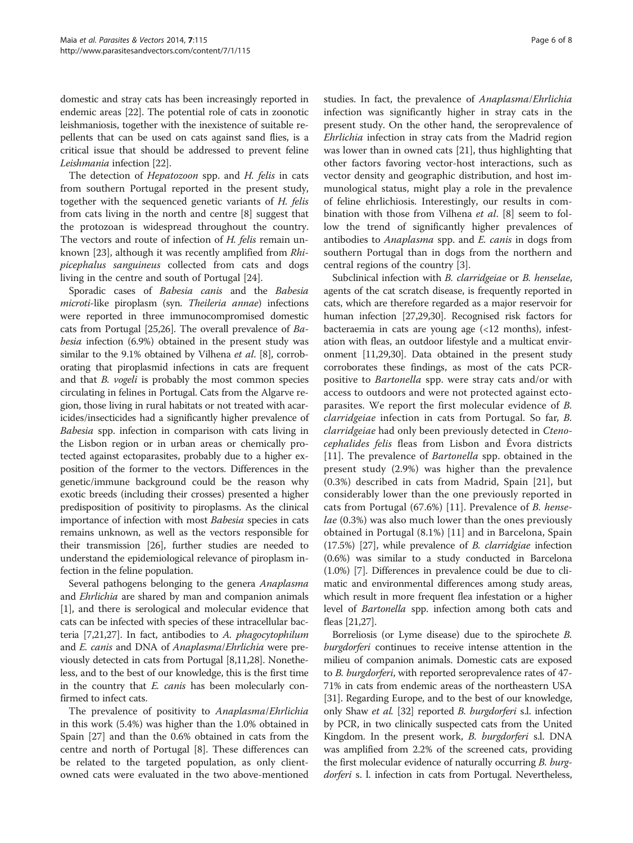domestic and stray cats has been increasingly reported in endemic areas [[22](#page-7-0)]. The potential role of cats in zoonotic leishmaniosis, together with the inexistence of suitable repellents that can be used on cats against sand flies, is a critical issue that should be addressed to prevent feline Leishmania infection [\[22](#page-7-0)].

The detection of *Hepatozoon* spp. and *H. felis* in cats from southern Portugal reported in the present study, together with the sequenced genetic variants of H. felis from cats living in the north and centre [[8\]](#page-6-0) suggest that the protozoan is widespread throughout the country. The vectors and route of infection of H. felis remain unknown [[23](#page-7-0)], although it was recently amplified from Rhipicephalus sanguineus collected from cats and dogs living in the centre and south of Portugal [\[24](#page-7-0)].

Sporadic cases of Babesia canis and the Babesia microti-like piroplasm (syn. Theileria annae) infections were reported in three immunocompromised domestic cats from Portugal [\[25,26](#page-7-0)]. The overall prevalence of Babesia infection (6.9%) obtained in the present study was similar to the 9.1% obtained by Vilhena et al. [\[8](#page-6-0)], corroborating that piroplasmid infections in cats are frequent and that *B. vogeli* is probably the most common species circulating in felines in Portugal. Cats from the Algarve region, those living in rural habitats or not treated with acaricides/insecticides had a significantly higher prevalence of Babesia spp. infection in comparison with cats living in the Lisbon region or in urban areas or chemically protected against ectoparasites, probably due to a higher exposition of the former to the vectors. Differences in the genetic/immune background could be the reason why exotic breeds (including their crosses) presented a higher predisposition of positivity to piroplasms. As the clinical importance of infection with most Babesia species in cats remains unknown, as well as the vectors responsible for their transmission [\[26\]](#page-7-0), further studies are needed to understand the epidemiological relevance of piroplasm infection in the feline population.

Several pathogens belonging to the genera Anaplasma and *Ehrlichia* are shared by man and companion animals [[1\]](#page-6-0), and there is serological and molecular evidence that cats can be infected with species of these intracellular bacteria [[7](#page-6-0)[,21,27\]](#page-7-0). In fact, antibodies to A. phagocytophilum and E. canis and DNA of Anaplasma/Ehrlichia were previously detected in cats from Portugal [\[8,](#page-6-0)[11](#page-7-0),[28](#page-7-0)]. Nonetheless, and to the best of our knowledge, this is the first time in the country that *E. canis* has been molecularly confirmed to infect cats.

The prevalence of positivity to Anaplasma/Ehrlichia in this work (5.4%) was higher than the 1.0% obtained in Spain [\[27](#page-7-0)] and than the 0.6% obtained in cats from the centre and north of Portugal [[8\]](#page-6-0). These differences can be related to the targeted population, as only clientowned cats were evaluated in the two above-mentioned

studies. In fact, the prevalence of Anaplasma/Ehrlichia infection was significantly higher in stray cats in the present study. On the other hand, the seroprevalence of Ehrlichia infection in stray cats from the Madrid region was lower than in owned cats [\[21](#page-7-0)], thus highlighting that other factors favoring vector-host interactions, such as vector density and geographic distribution, and host immunological status, might play a role in the prevalence of feline ehrlichiosis. Interestingly, our results in combination with those from Vilhena et al. [\[8](#page-6-0)] seem to follow the trend of significantly higher prevalences of antibodies to Anaplasma spp. and E. canis in dogs from southern Portugal than in dogs from the northern and central regions of the country [[3\]](#page-6-0).

Subclinical infection with B. clarridgeiae or B. henselae, agents of the cat scratch disease, is frequently reported in cats, which are therefore regarded as a major reservoir for human infection [[27,29,30\]](#page-7-0). Recognised risk factors for bacteraemia in cats are young age (<12 months), infestation with fleas, an outdoor lifestyle and a multicat environment [\[11,29,30](#page-7-0)]. Data obtained in the present study corroborates these findings, as most of the cats PCRpositive to Bartonella spp. were stray cats and/or with access to outdoors and were not protected against ectoparasites. We report the first molecular evidence of B. clarridgeiae infection in cats from Portugal. So far, B. clarridgeiae had only been previously detected in Ctenocephalides felis fleas from Lisbon and Évora districts [[11](#page-7-0)]. The prevalence of *Bartonella* spp. obtained in the present study (2.9%) was higher than the prevalence (0.3%) described in cats from Madrid, Spain [[21\]](#page-7-0), but considerably lower than the one previously reported in cats from Portugal (67.6%) [\[11](#page-7-0)]. Prevalence of B. henselae (0.3%) was also much lower than the ones previously obtained in Portugal (8.1%) [\[11](#page-7-0)] and in Barcelona, Spain (17.5%) [\[27\]](#page-7-0), while prevalence of B. clarridgiae infection (0.6%) was similar to a study conducted in Barcelona (1.0%) [\[7](#page-6-0)]. Differences in prevalence could be due to climatic and environmental differences among study areas, which result in more frequent flea infestation or a higher level of Bartonella spp. infection among both cats and fleas [\[21,27](#page-7-0)].

Borreliosis (or Lyme disease) due to the spirochete B. *burgdorferi* continues to receive intense attention in the milieu of companion animals. Domestic cats are exposed to B. burgdorferi, with reported seroprevalence rates of 47- 71% in cats from endemic areas of the northeastern USA [[31](#page-7-0)]. Regarding Europe, and to the best of our knowledge, only Shaw et al. [\[32\]](#page-7-0) reported B. burgdorferi s.l. infection by PCR, in two clinically suspected cats from the United Kingdom. In the present work, *B. burgdorferi* s.l. DNA was amplified from 2.2% of the screened cats, providing the first molecular evidence of naturally occurring *B. burg*dorferi s. l. infection in cats from Portugal. Nevertheless,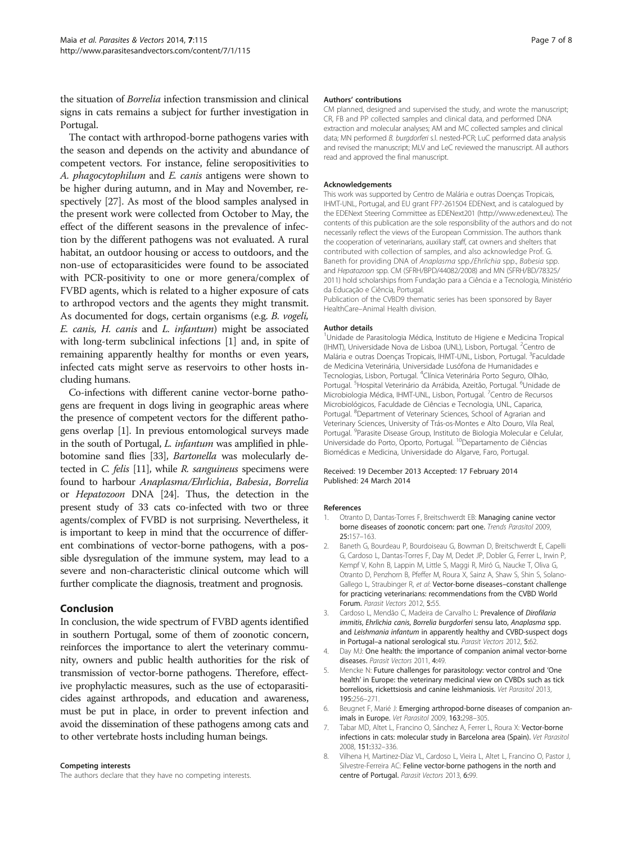<span id="page-6-0"></span>the situation of Borrelia infection transmission and clinical signs in cats remains a subject for further investigation in Portugal.

The contact with arthropod-borne pathogens varies with the season and depends on the activity and abundance of competent vectors. For instance, feline seropositivities to A. phagocytophilum and E. canis antigens were shown to be higher during autumn, and in May and November, respectively [[27](#page-7-0)]. As most of the blood samples analysed in the present work were collected from October to May, the effect of the different seasons in the prevalence of infection by the different pathogens was not evaluated. A rural habitat, an outdoor housing or access to outdoors, and the non-use of ectoparasiticides were found to be associated with PCR-positivity to one or more genera/complex of FVBD agents, which is related to a higher exposure of cats to arthropod vectors and the agents they might transmit. As documented for dogs, certain organisms (e.g. B. vogeli, E. canis, H. canis and L. infantum) might be associated with long-term subclinical infections [1] and, in spite of remaining apparently healthy for months or even years, infected cats might serve as reservoirs to other hosts including humans.

Co-infections with different canine vector-borne pathogens are frequent in dogs living in geographic areas where the presence of competent vectors for the different pathogens overlap [1]. In previous entomological surveys made in the south of Portugal, L. infantum was amplified in phlebotomine sand flies [\[33\]](#page-7-0), Bartonella was molecularly detected in C. felis [\[11\]](#page-7-0), while R. sanguineus specimens were found to harbour Anaplasma/Ehrlichia, Babesia, Borrelia or Hepatozoon DNA [\[24](#page-7-0)]. Thus, the detection in the present study of 33 cats co-infected with two or three agents/complex of FVBD is not surprising. Nevertheless, it is important to keep in mind that the occurrence of different combinations of vector-borne pathogens, with a possible dysregulation of the immune system, may lead to a severe and non-characteristic clinical outcome which will further complicate the diagnosis, treatment and prognosis.

#### Conclusion

In conclusion, the wide spectrum of FVBD agents identified in southern Portugal, some of them of zoonotic concern, reinforces the importance to alert the veterinary community, owners and public health authorities for the risk of transmission of vector-borne pathogens. Therefore, effective prophylactic measures, such as the use of ectoparasiticides against arthropods, and education and awareness, must be put in place, in order to prevent infection and avoid the dissemination of these pathogens among cats and to other vertebrate hosts including human beings.

#### Competing interests

The authors declare that they have no competing interests.

#### Authors' contributions

CM planned, designed and supervised the study, and wrote the manuscript; CR, FB and PP collected samples and clinical data, and performed DNA extraction and molecular analyses; AM and MC collected samples and clinical data; MN performed B. burgdorferi s.l. nested-PCR; LuC performed data analysis and revised the manuscript; MLV and LeC reviewed the manuscript. All authors read and approved the final manuscript.

#### Acknowledgements

This work was supported by Centro de Malária e outras Doenças Tropicais, IHMT-UNL, Portugal, and EU grant FP7-261504 EDENext, and is catalogued by the EDENext Steering Committee as EDENext201 [\(http://www.edenext.eu\)](http://www.edenext.eu). The contents of this publication are the sole responsibility of the authors and do not necessarily reflect the views of the European Commission. The authors thank the cooperation of veterinarians, auxiliary staff, cat owners and shelters that contributed with collection of samples, and also acknowledge Prof. G. Baneth for providing DNA of Anaplasma spp./Ehrlichia spp., Babesia spp. and Hepatozoon spp. CM (SFRH/BPD/44082/2008) and MN (SFRH/BD/78325/ 2011) hold scholarships from Fundação para a Ciência e a Tecnologia, Ministério da Educação e Ciência, Portugal.

Publication of the CVBD9 thematic series has been sponsored by Bayer HealthCare–Animal Health division.

#### Author details

<sup>1</sup>Unidade de Parasitologia Médica, Instituto de Higiene e Medicina Tropical (IHMT), Universidade Nova de Lisboa (UNL), Lisbon, Portugal. <sup>2</sup>Centro de Malária e outras Doenças Tropicais, IHMT-UNL, Lisbon, Portugal. <sup>3</sup>Faculdade de Medicina Veterinária, Universidade Lusófona de Humanidades e Tecnologias, Lisbon, Portugal. <sup>4</sup>Clínica Veterinária Porto Seguro, Olhão Portugal.<sup>5</sup> Hospital Veterinário da Arrábida, Azeitão, Portugal.<sup>6</sup> Unidade de Microbiologia Médica, IHMT-UNL, Lisbon, Portugal. <sup>7</sup>Centro de Recursos Microbiológicos, Faculdade de Ciências e Tecnologia, UNL, Caparica, Portugal. <sup>8</sup>Department of Veterinary Sciences, School of Agrarian and Veterinary Sciences, University of Trás-os-Montes e Alto Douro, Vila Real, Portugal. <sup>9</sup>Parasite Disease Group, Instituto de Biologia Molecular e Celular Universidade do Porto, Oporto, Portugal. 10Departamento de Ciências Biomédicas e Medicina, Universidade do Algarve, Faro, Portugal.

#### Received: 19 December 2013 Accepted: 17 February 2014 Published: 24 March 2014

#### References

- 1. Otranto D, Dantas-Torres F, Breitschwerdt EB: Managing canine vector borne diseases of zoonotic concern: part one. Trends Parasitol 2009, 25:157–163.
- 2. Baneth G, Bourdeau P, Bourdoiseau G, Bowman D, Breitschwerdt E, Capelli G, Cardoso L, Dantas-Torres F, Day M, Dedet JP, Dobler G, Ferrer L, Irwin P, Kempf V, Kohn B, Lappin M, Little S, Maggi R, Miró G, Naucke T, Oliva G, Otranto D, Penzhorn B, Pfeffer M, Roura X, Sainz A, Shaw S, Shin S, Solano-Gallego L, Straubinger R, et al: Vector-borne diseases-constant challenge for practicing veterinarians: recommendations from the CVBD World Forum. Parasit Vectors 2012, 5:55.
- 3. Cardoso L, Mendão C, Madeira de Carvalho L: Prevalence of Dirofilaria immitis, Ehrlichia canis, Borrelia burgdorferi sensu lato, Anaplasma spp. and Leishmania infantum in apparently healthy and CVBD-suspect dogs in Portugal–a national serological stu. Parasit Vectors 2012, 5:62.
- 4. Day MJ: One health: the importance of companion animal vector-borne diseases. Parasit Vectors 2011, 4:49.
- 5. Mencke N: Future challenges for parasitology: vector control and 'One health' in Europe: the veterinary medicinal view on CVBDs such as tick borreliosis, rickettsiosis and canine leishmaniosis. Vet Parasitol 2013, 195:256–271.
- 6. Beugnet F, Marié J: Emerging arthropod-borne diseases of companion animals in Europe. Vet Parasitol 2009, 163:298–305.
- 7. Tabar MD, Altet L, Francino O, Sánchez A, Ferrer L, Roura X: Vector-borne infections in cats: molecular study in Barcelona area (Spain). Vet Parasitol 2008, 151:332–336.
- 8. Vilhena H, Martinez-Díaz VL, Cardoso L, Vieira L, Altet L, Francino O, Pastor J, Silvestre-Ferreira AC: Feline vector-borne pathogens in the north and centre of Portugal. Parasit Vectors 2013, 6:99.